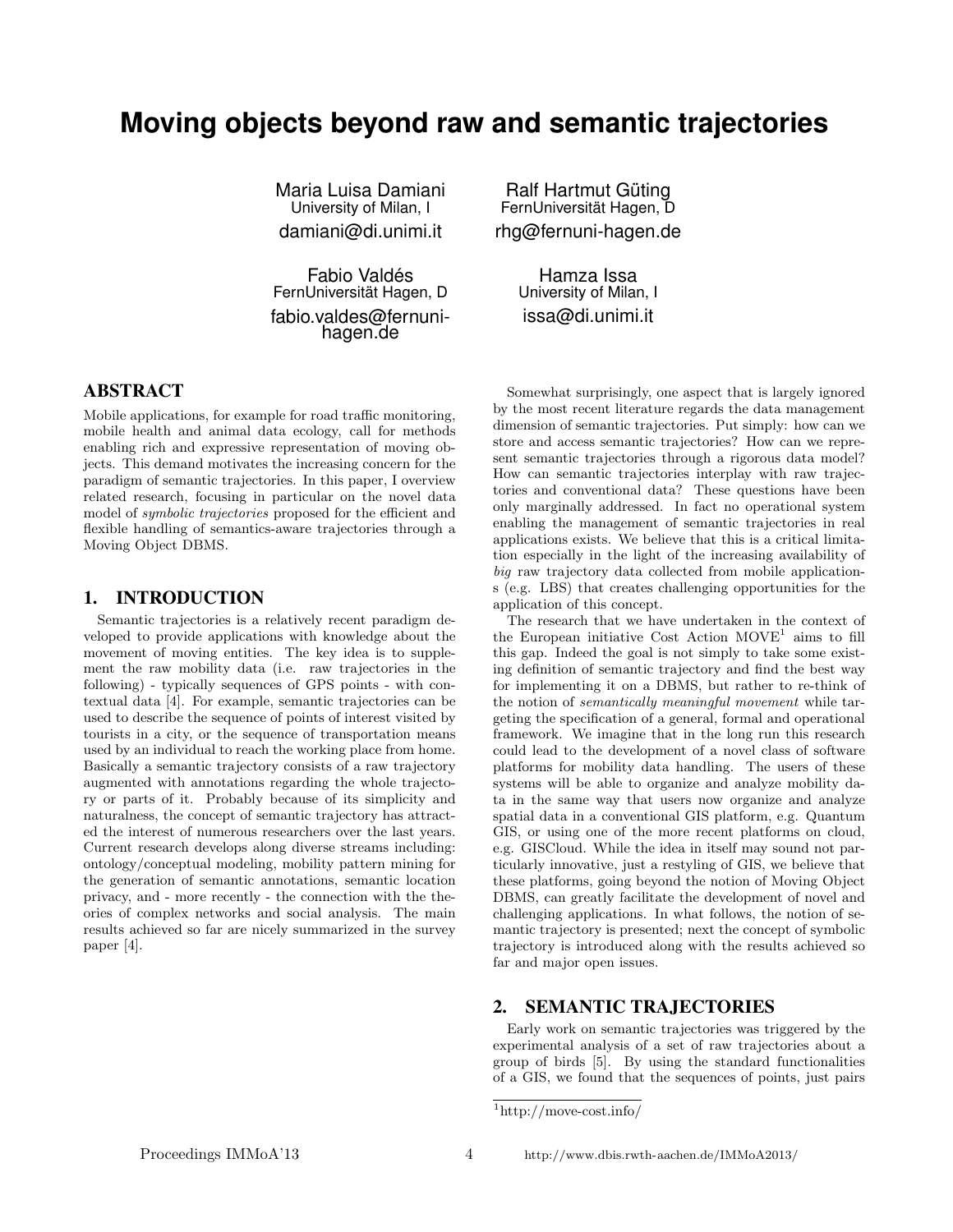# **Moving objects beyond raw and semantic trajectories**

Maria Luisa Damiani University of Milan, I damiani@di.unimi.it

Fabio Valdés FernUniversitat Hagen, D ¨ fabio.valdes@fernunihagen.de

## ABSTRACT

Mobile applications, for example for road traffic monitoring, mobile health and animal data ecology, call for methods enabling rich and expressive representation of moving objects. This demand motivates the increasing concern for the paradigm of semantic trajectories. In this paper, I overview related research, focusing in particular on the novel data model of symbolic trajectories proposed for the efficient and flexible handling of semantics-aware trajectories through a Moving Object DBMS.

### 1. INTRODUCTION

Semantic trajectories is a relatively recent paradigm developed to provide applications with knowledge about the movement of moving entities. The key idea is to supplement the raw mobility data (i.e. raw trajectories in the following) - typically sequences of GPS points - with contextual data [4]. For example, semantic trajectories can be used to describe the sequence of points of interest visited by tourists in a city, or the sequence of transportation means used by an individual to reach the working place from home. Basically a semantic trajectory consists of a raw trajectory augmented with annotations regarding the whole trajectory or parts of it. Probably because of its simplicity and naturalness, the concept of semantic trajectory has attracted the interest of numerous researchers over the last years. Current research develops along diverse streams including: ontology/conceptual modeling, mobility pattern mining for the generation of semantic annotations, semantic location privacy, and - more recently - the connection with the theories of complex networks and social analysis. The main results achieved so far are nicely summarized in the survey paper [4].

Ralf Hartmut Güting FernUniversitat Hagen, D ¨ rhg@fernuni-hagen.de

> Hamza Issa University of Milan, I issa@di.unimi.it

Somewhat surprisingly, one aspect that is largely ignored by the most recent literature regards the data management dimension of semantic trajectories. Put simply: how can we store and access semantic trajectories? How can we represent semantic trajectories through a rigorous data model? How can semantic trajectories interplay with raw trajectories and conventional data? These questions have been only marginally addressed. In fact no operational system enabling the management of semantic trajectories in real applications exists. We believe that this is a critical limitation especially in the light of the increasing availability of big raw trajectory data collected from mobile applications (e.g. LBS) that creates challenging opportunities for the application of this concept.

The research that we have undertaken in the context of the European initiative Cost Action  $MOVE<sup>1</sup>$  aims to fill this gap. Indeed the goal is not simply to take some existing definition of semantic trajectory and find the best way for implementing it on a DBMS, but rather to re-think of the notion of semantically meaningful movement while targeting the specification of a general, formal and operational framework. We imagine that in the long run this research could lead to the development of a novel class of software platforms for mobility data handling. The users of these systems will be able to organize and analyze mobility data in the same way that users now organize and analyze spatial data in a conventional GIS platform, e.g. Quantum GIS, or using one of the more recent platforms on cloud, e.g. GISCloud. While the idea in itself may sound not particularly innovative, just a restyling of GIS, we believe that these platforms, going beyond the notion of Moving Object DBMS, can greatly facilitate the development of novel and challenging applications. In what follows, the notion of semantic trajectory is presented; next the concept of symbolic trajectory is introduced along with the results achieved so far and major open issues.

### 2. SEMANTIC TRAJECTORIES

Early work on semantic trajectories was triggered by the experimental analysis of a set of raw trajectories about a group of birds [5]. By using the standard functionalities of a GIS, we found that the sequences of points, just pairs

 $\mathrm{^{1}http://move-cost.info/}$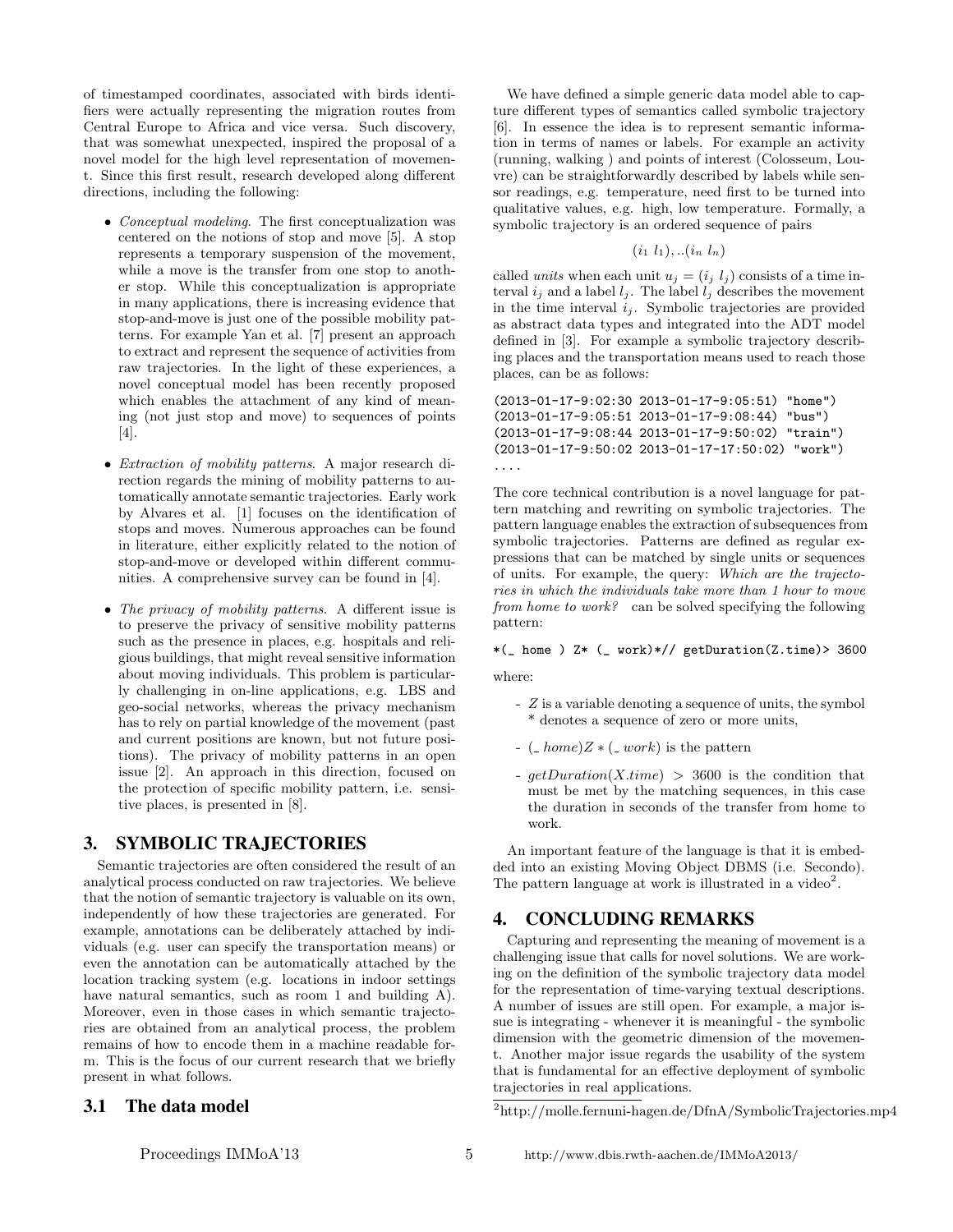of timestamped coordinates, associated with birds identifiers were actually representing the migration routes from Central Europe to Africa and vice versa. Such discovery, that was somewhat unexpected, inspired the proposal of a novel model for the high level representation of movement. Since this first result, research developed along different directions, including the following:

- Conceptual modeling. The first conceptualization was centered on the notions of stop and move [5]. A stop represents a temporary suspension of the movement, while a move is the transfer from one stop to another stop. While this conceptualization is appropriate in many applications, there is increasing evidence that stop-and-move is just one of the possible mobility patterns. For example Yan et al. [7] present an approach to extract and represent the sequence of activities from raw trajectories. In the light of these experiences, a novel conceptual model has been recently proposed which enables the attachment of any kind of meaning (not just stop and move) to sequences of points [4].
- *Extraction of mobility patterns.* A major research direction regards the mining of mobility patterns to automatically annotate semantic trajectories. Early work by Alvares et al. [1] focuses on the identification of stops and moves. Numerous approaches can be found in literature, either explicitly related to the notion of stop-and-move or developed within different communities. A comprehensive survey can be found in [4].
- The privacy of mobility patterns. A different issue is to preserve the privacy of sensitive mobility patterns such as the presence in places, e.g. hospitals and religious buildings, that might reveal sensitive information about moving individuals. This problem is particularly challenging in on-line applications, e.g. LBS and geo-social networks, whereas the privacy mechanism has to rely on partial knowledge of the movement (past and current positions are known, but not future positions). The privacy of mobility patterns in an open issue [2]. An approach in this direction, focused on the protection of specific mobility pattern, i.e. sensitive places, is presented in [8].

## 3. SYMBOLIC TRAJECTORIES

Semantic trajectories are often considered the result of an analytical process conducted on raw trajectories. We believe that the notion of semantic trajectory is valuable on its own, independently of how these trajectories are generated. For example, annotations can be deliberately attached by individuals (e.g. user can specify the transportation means) or even the annotation can be automatically attached by the location tracking system (e.g. locations in indoor settings have natural semantics, such as room 1 and building A). Moreover, even in those cases in which semantic trajectories are obtained from an analytical process, the problem remains of how to encode them in a machine readable form. This is the focus of our current research that we briefly present in what follows.

## 3.1 The data model

We have defined a simple generic data model able to capture different types of semantics called symbolic trajectory [6]. In essence the idea is to represent semantic information in terms of names or labels. For example an activity (running, walking ) and points of interest (Colosseum, Louvre) can be straightforwardly described by labels while sensor readings, e.g. temperature, need first to be turned into qualitative values, e.g. high, low temperature. Formally, a symbolic trajectory is an ordered sequence of pairs

$$
(i_1 l_1), \ldots (i_n l_n)
$$

called units when each unit  $u_j = (i_j \, l_j)$  consists of a time interval  $i_j$  and a label  $l_j$ . The label  $l_j$  describes the movement in the time interval  $i_j$ . Symbolic trajectories are provided as abstract data types and integrated into the ADT model defined in [3]. For example a symbolic trajectory describing places and the transportation means used to reach those places, can be as follows:

```
(2013-01-17-9:02:30 2013-01-17-9:05:51) "home")
(2013-01-17-9:05:51 2013-01-17-9:08:44) "bus")
(2013-01-17-9:08:44 2013-01-17-9:50:02) "train")
(2013-01-17-9:50:02 2013-01-17-17:50:02) "work")
....
```
The core technical contribution is a novel language for pattern matching and rewriting on symbolic trajectories. The pattern language enables the extraction of subsequences from symbolic trajectories. Patterns are defined as regular expressions that can be matched by single units or sequences of units. For example, the query: Which are the trajectories in which the individuals take more than 1 hour to move from home to work? can be solved specifying the following pattern:

#### $*(- home ) Z* (- work)*// getDuration(Z.time) > 3600$

where:

- Z is a variable denoting a sequence of units, the symbol \* denotes a sequence of zero or more units,
- $-$  ( $\pm home)Z *$  ( $\pm work$ ) is the pattern
- $qetDuration(X.time) > 3600$  is the condition that must be met by the matching sequences, in this case the duration in seconds of the transfer from home to work.

An important feature of the language is that it is embedded into an existing Moving Object DBMS (i.e. Secondo). The pattern language at work is illustrated in a video<sup>2</sup>.

### 4. CONCLUDING REMARKS

Capturing and representing the meaning of movement is a challenging issue that calls for novel solutions. We are working on the definition of the symbolic trajectory data model for the representation of time-varying textual descriptions. A number of issues are still open. For example, a major issue is integrating - whenever it is meaningful - the symbolic dimension with the geometric dimension of the movement. Another major issue regards the usability of the system that is fundamental for an effective deployment of symbolic trajectories in real applications.

<sup>2</sup>http://molle.fernuni-hagen.de/DfnA/SymbolicTrajectories.mp4